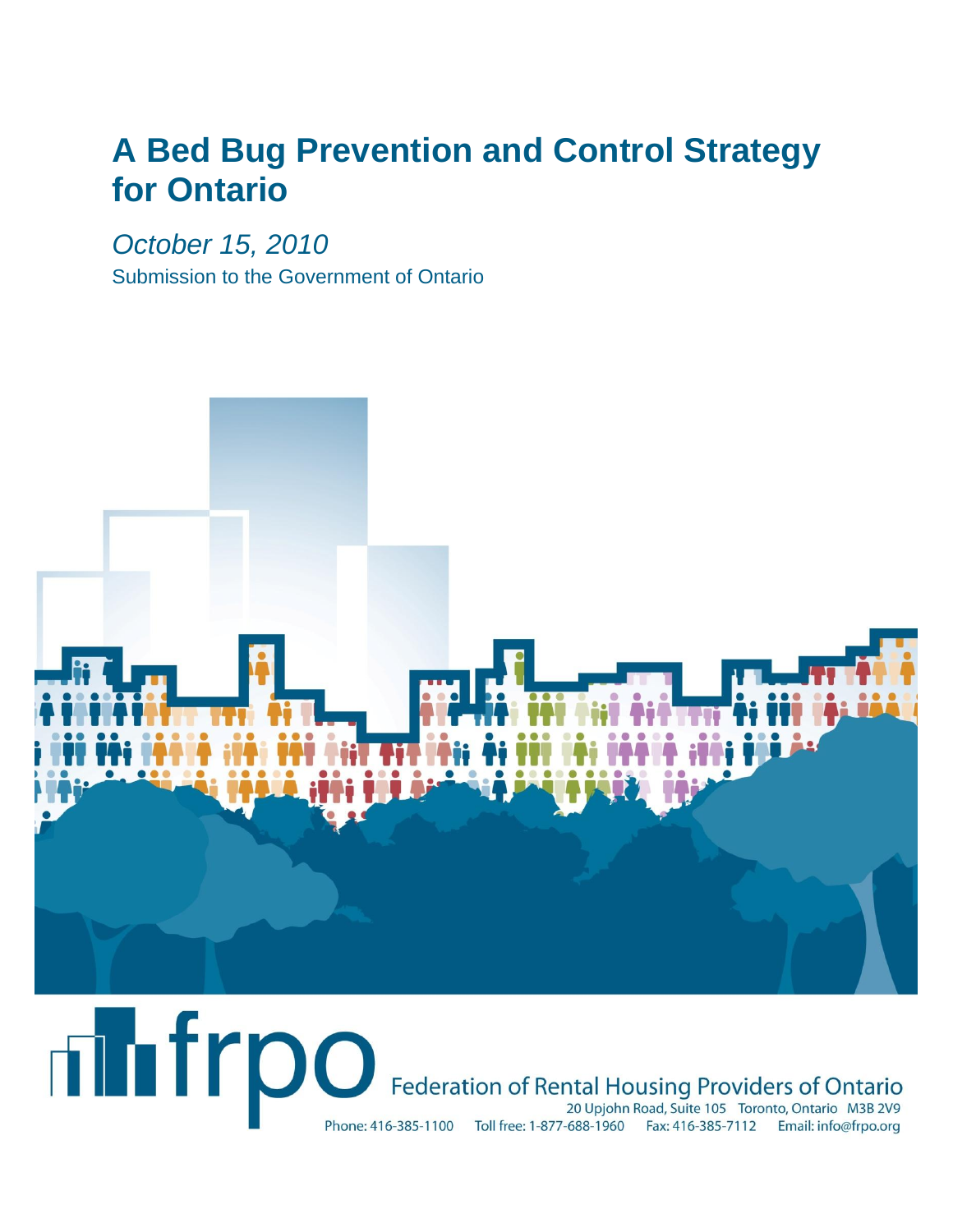# **A Bed Bug Prevention and Control Strategy for Ontario**

*October 15, 2010*

Submission to the Government of Ontario



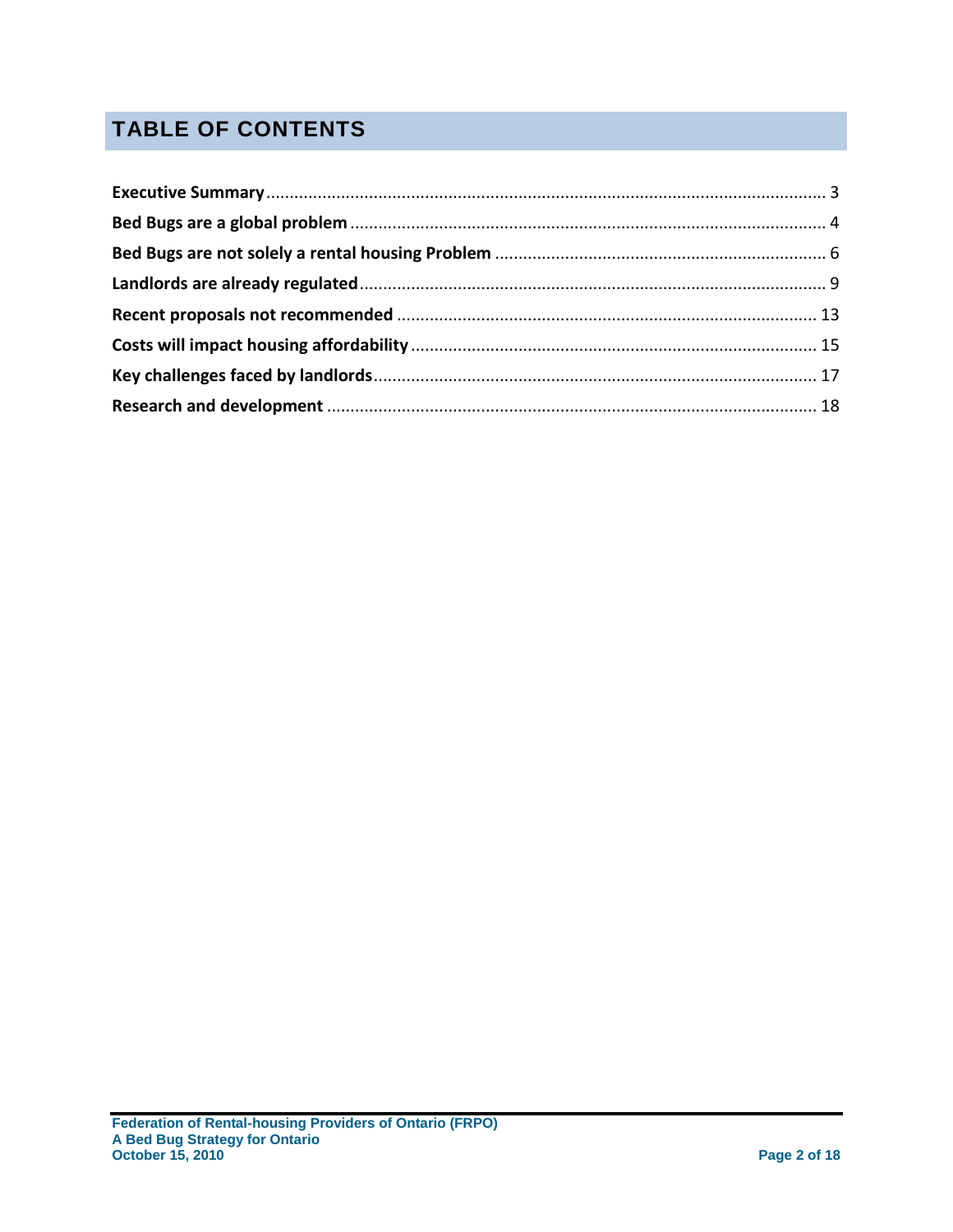## **TABLE OF CONTENTS**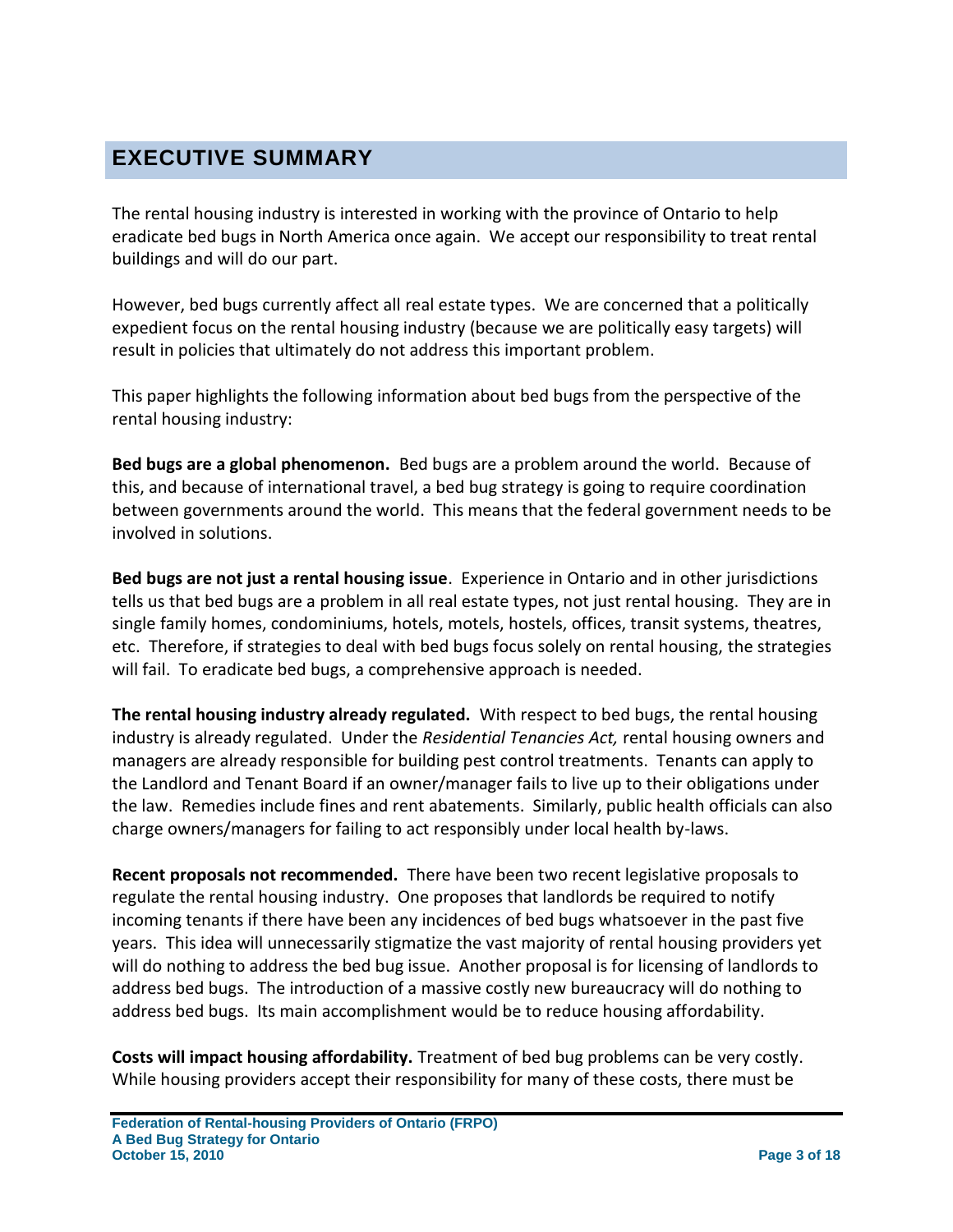### <span id="page-2-0"></span>**EXECUTIVE SUMMARY**

The rental housing industry is interested in working with the province of Ontario to help eradicate bed bugs in North America once again. We accept our responsibility to treat rental buildings and will do our part.

However, bed bugs currently affect all real estate types. We are concerned that a politically expedient focus on the rental housing industry (because we are politically easy targets) will result in policies that ultimately do not address this important problem.

This paper highlights the following information about bed bugs from the perspective of the rental housing industry:

**Bed bugs are a global phenomenon.** Bed bugs are a problem around the world. Because of this, and because of international travel, a bed bug strategy is going to require coordination between governments around the world. This means that the federal government needs to be involved in solutions.

**Bed bugs are not just a rental housing issue**. Experience in Ontario and in other jurisdictions tells us that bed bugs are a problem in all real estate types, not just rental housing. They are in single family homes, condominiums, hotels, motels, hostels, offices, transit systems, theatres, etc. Therefore, if strategies to deal with bed bugs focus solely on rental housing, the strategies will fail. To eradicate bed bugs, a comprehensive approach is needed.

**The rental housing industry already regulated.** With respect to bed bugs, the rental housing industry is already regulated. Under the *Residential Tenancies Act,* rental housing owners and managers are already responsible for building pest control treatments. Tenants can apply to the Landlord and Tenant Board if an owner/manager fails to live up to their obligations under the law. Remedies include fines and rent abatements. Similarly, public health officials can also charge owners/managers for failing to act responsibly under local health by-laws.

**Recent proposals not recommended.** There have been two recent legislative proposals to regulate the rental housing industry. One proposes that landlords be required to notify incoming tenants if there have been any incidences of bed bugs whatsoever in the past five years. This idea will unnecessarily stigmatize the vast majority of rental housing providers yet will do nothing to address the bed bug issue. Another proposal is for licensing of landlords to address bed bugs. The introduction of a massive costly new bureaucracy will do nothing to address bed bugs. Its main accomplishment would be to reduce housing affordability.

**Costs will impact housing affordability.** Treatment of bed bug problems can be very costly. While housing providers accept their responsibility for many of these costs, there must be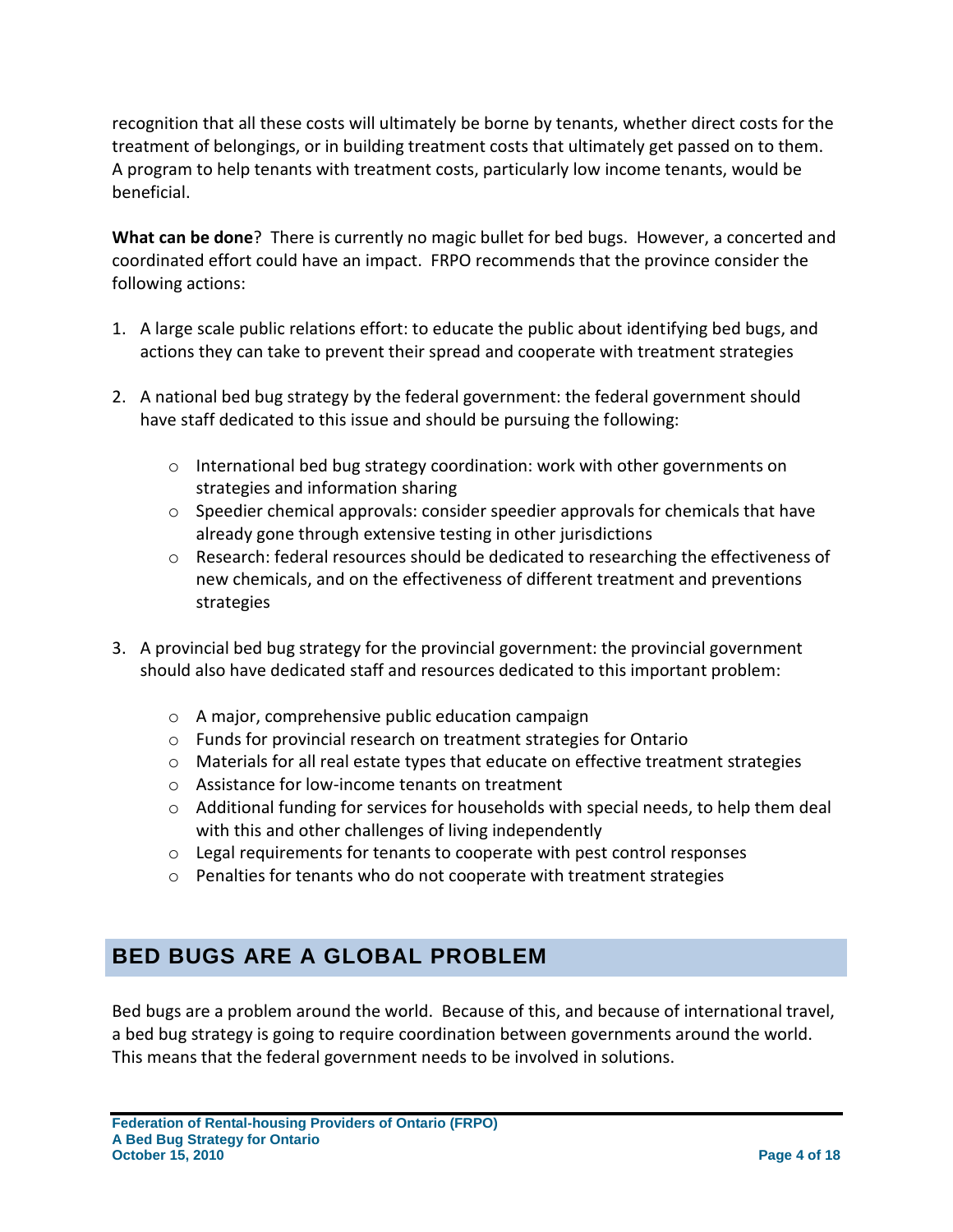recognition that all these costs will ultimately be borne by tenants, whether direct costs for the treatment of belongings, or in building treatment costs that ultimately get passed on to them. A program to help tenants with treatment costs, particularly low income tenants, would be beneficial.

**What can be done**? There is currently no magic bullet for bed bugs. However, a concerted and coordinated effort could have an impact. FRPO recommends that the province consider the following actions:

- 1. A large scale public relations effort: to educate the public about identifying bed bugs, and actions they can take to prevent their spread and cooperate with treatment strategies
- 2. A national bed bug strategy by the federal government: the federal government should have staff dedicated to this issue and should be pursuing the following:
	- $\circ$  International bed bug strategy coordination: work with other governments on strategies and information sharing
	- $\circ$  Speedier chemical approvals: consider speedier approvals for chemicals that have already gone through extensive testing in other jurisdictions
	- o Research: federal resources should be dedicated to researching the effectiveness of new chemicals, and on the effectiveness of different treatment and preventions strategies
- 3. A provincial bed bug strategy for the provincial government: the provincial government should also have dedicated staff and resources dedicated to this important problem:
	- o A major, comprehensive public education campaign
	- o Funds for provincial research on treatment strategies for Ontario
	- o Materials for all real estate types that educate on effective treatment strategies
	- o Assistance for low-income tenants on treatment
	- $\circ$  Additional funding for services for households with special needs, to help them deal with this and other challenges of living independently
	- o Legal requirements for tenants to cooperate with pest control responses
	- $\circ$  Penalties for tenants who do not cooperate with treatment strategies

### <span id="page-3-0"></span>**BED BUGS ARE A GLOBAL PROBLEM**

Bed bugs are a problem around the world. Because of this, and because of international travel, a bed bug strategy is going to require coordination between governments around the world. This means that the federal government needs to be involved in solutions.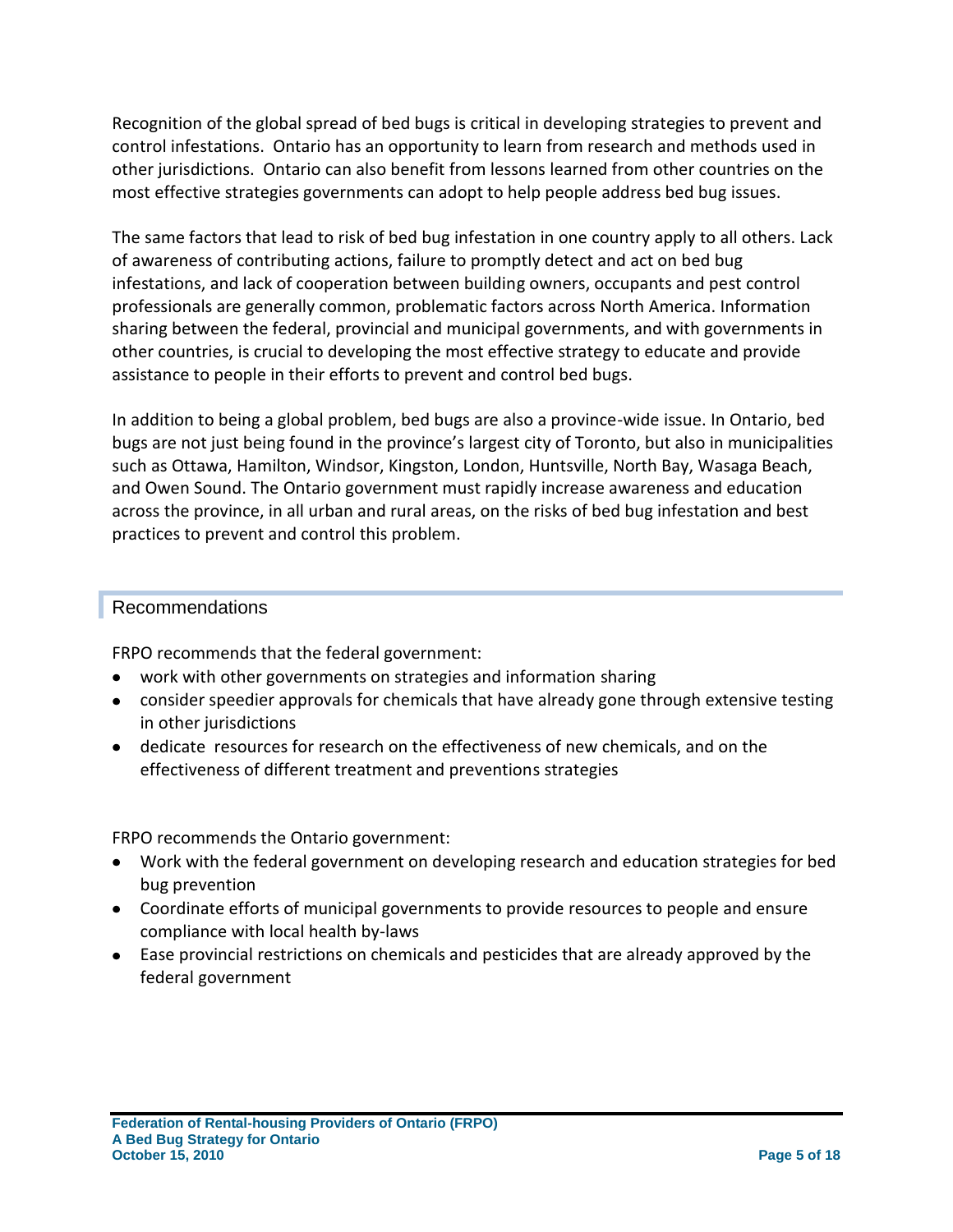Recognition of the global spread of bed bugs is critical in developing strategies to prevent and control infestations. Ontario has an opportunity to learn from research and methods used in other jurisdictions. Ontario can also benefit from lessons learned from other countries on the most effective strategies governments can adopt to help people address bed bug issues.

The same factors that lead to risk of bed bug infestation in one country apply to all others. Lack of awareness of contributing actions, failure to promptly detect and act on bed bug infestations, and lack of cooperation between building owners, occupants and pest control professionals are generally common, problematic factors across North America. Information sharing between the federal, provincial and municipal governments, and with governments in other countries, is crucial to developing the most effective strategy to educate and provide assistance to people in their efforts to prevent and control bed bugs.

In addition to being a global problem, bed bugs are also a province-wide issue. In Ontario, bed bugs are not just being found in the province's largest city of Toronto, but also in municipalities such as Ottawa, Hamilton, Windsor, Kingston, London, Huntsville, North Bay, Wasaga Beach, and Owen Sound. The Ontario government must rapidly increase awareness and education across the province, in all urban and rural areas, on the risks of bed bug infestation and best practices to prevent and control this problem.

#### Recommendations

FRPO recommends that the federal government:

- work with other governments on strategies and information sharing
- consider speedier approvals for chemicals that have already gone through extensive testing in other jurisdictions
- dedicate resources for research on the effectiveness of new chemicals, and on the effectiveness of different treatment and preventions strategies

FRPO recommends the Ontario government:

- Work with the federal government on developing research and education strategies for bed bug prevention
- Coordinate efforts of municipal governments to provide resources to people and ensure compliance with local health by-laws
- Ease provincial restrictions on chemicals and pesticides that are already approved by the federal government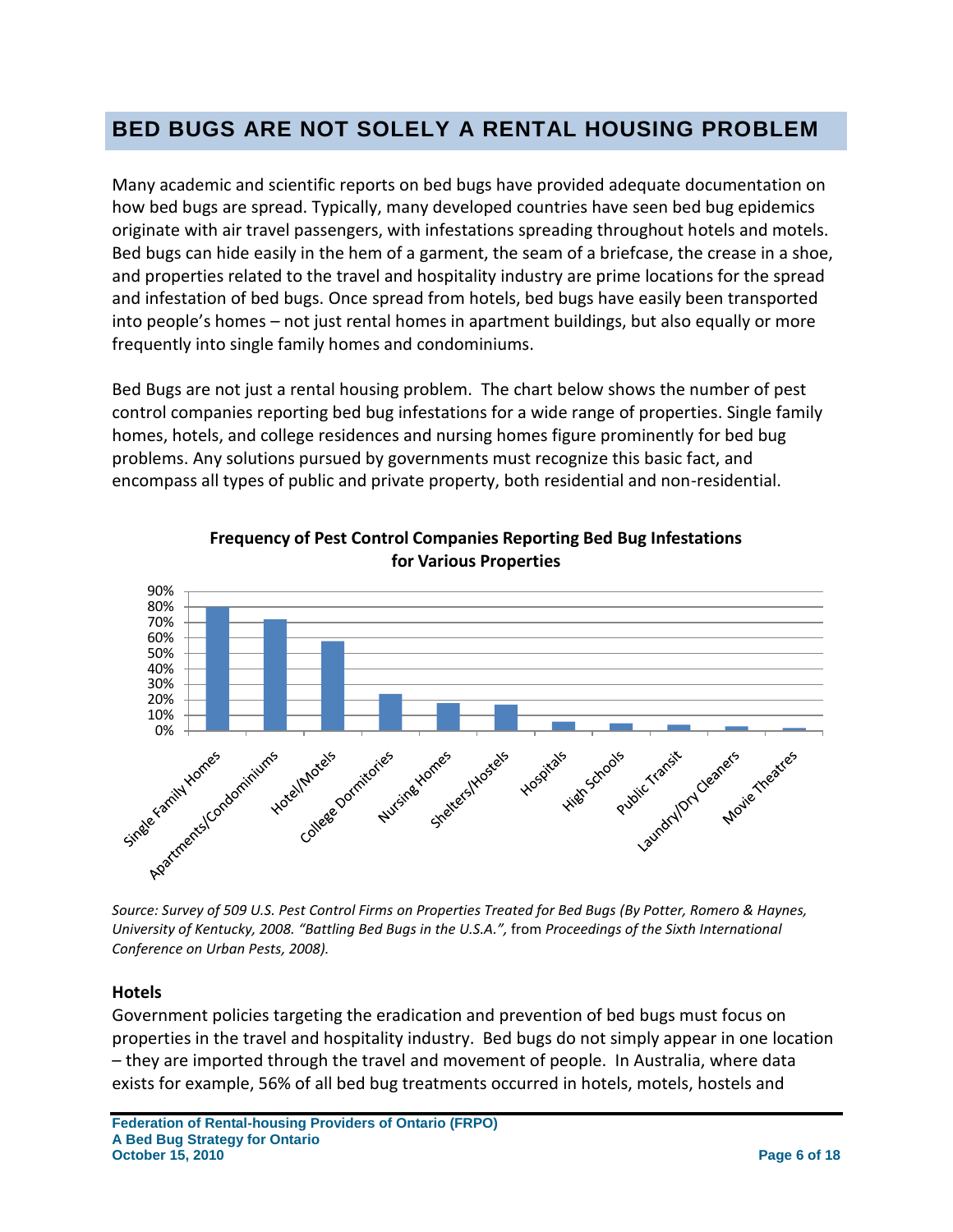### <span id="page-5-0"></span>**BED BUGS ARE NOT SOLELY A RENTAL HOUSING PROBLEM**

Many academic and scientific reports on bed bugs have provided adequate documentation on how bed bugs are spread. Typically, many developed countries have seen bed bug epidemics originate with air travel passengers, with infestations spreading throughout hotels and motels. Bed bugs can hide easily in the hem of a garment, the seam of a briefcase, the crease in a shoe, and properties related to the travel and hospitality industry are prime locations for the spread and infestation of bed bugs. Once spread from hotels, bed bugs have easily been transported into people's homes – not just rental homes in apartment buildings, but also equally or more frequently into single family homes and condominiums.

Bed Bugs are not just a rental housing problem. The chart below shows the number of pest control companies reporting bed bug infestations for a wide range of properties. Single family homes, hotels, and college residences and nursing homes figure prominently for bed bug problems. Any solutions pursued by governments must recognize this basic fact, and encompass all types of public and private property, both residential and non-residential.



**Frequency of Pest Control Companies Reporting Bed Bug Infestations for Various Properties**

*Source: Survey of 509 U.S. Pest Control Firms on Properties Treated for Bed Bugs (By Potter, Romero & Haynes, University of Kentucky, 2008. "Battling Bed Bugs in the U.S.A.",* from *Proceedings of the Sixth International Conference on Urban Pests, 2008).*

#### **Hotels**

Government policies targeting the eradication and prevention of bed bugs must focus on properties in the travel and hospitality industry. Bed bugs do not simply appear in one location – they are imported through the travel and movement of people. In Australia, where data exists for example, 56% of all bed bug treatments occurred in hotels, motels, hostels and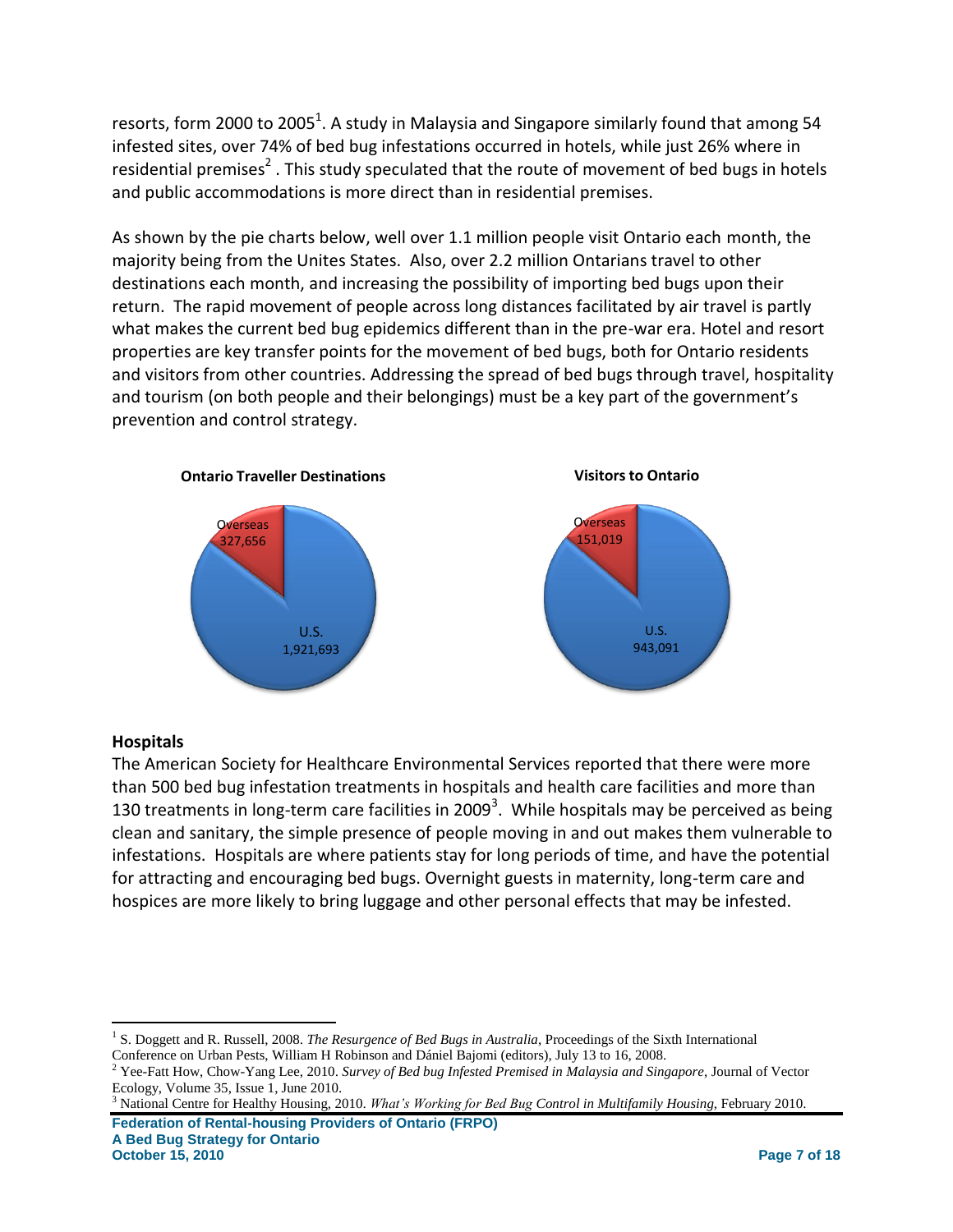resorts, form 2000 to 2005<sup>1</sup>. A study in Malaysia and Singapore similarly found that among 54 infested sites, over 74% of bed bug infestations occurred in hotels, while just 26% where in residential premises<sup>2</sup>. This study speculated that the route of movement of bed bugs in hotels and public accommodations is more direct than in residential premises.

As shown by the pie charts below, well over 1.1 million people visit Ontario each month, the majority being from the Unites States. Also, over 2.2 million Ontarians travel to other destinations each month, and increasing the possibility of importing bed bugs upon their return. The rapid movement of people across long distances facilitated by air travel is partly what makes the current bed bug epidemics different than in the pre-war era. Hotel and resort properties are key transfer points for the movement of bed bugs, both for Ontario residents and visitors from other countries. Addressing the spread of bed bugs through travel, hospitality and tourism (on both people and their belongings) must be a key part of the government's prevention and control strategy.



#### **Hospitals**

The American Society for Healthcare Environmental Services reported that there were more than 500 bed bug infestation treatments in hospitals and health care facilities and more than 130 treatments in long-term care facilities in 2009<sup>3</sup>. While hospitals may be perceived as being clean and sanitary, the simple presence of people moving in and out makes them vulnerable to infestations. Hospitals are where patients stay for long periods of time, and have the potential for attracting and encouraging bed bugs. Overnight guests in maternity, long-term care and hospices are more likely to bring luggage and other personal effects that may be infested.

**Federation of Rental-housing Providers of Ontario (FRPO)** <sup>3</sup> National Centre for Healthy Housing, 2010. *What's Working for Bed Bug Control in Multifamily Housing*, February 2010.

 $\overline{a}$ <sup>1</sup> S. Doggett and R. Russell, 2008. *The Resurgence of Bed Bugs in Australia*, Proceedings of the Sixth International Conference on Urban Pests, William H Robinson and Dániel Bajomi (editors), July 13 to 16, 2008.

<sup>2</sup> Yee-Fatt How, Chow-Yang Lee, 2010. *Survey of Bed bug Infested Premised in Malaysia and Singapore*, Journal of Vector Ecology, Volume 35, Issue 1, June 2010.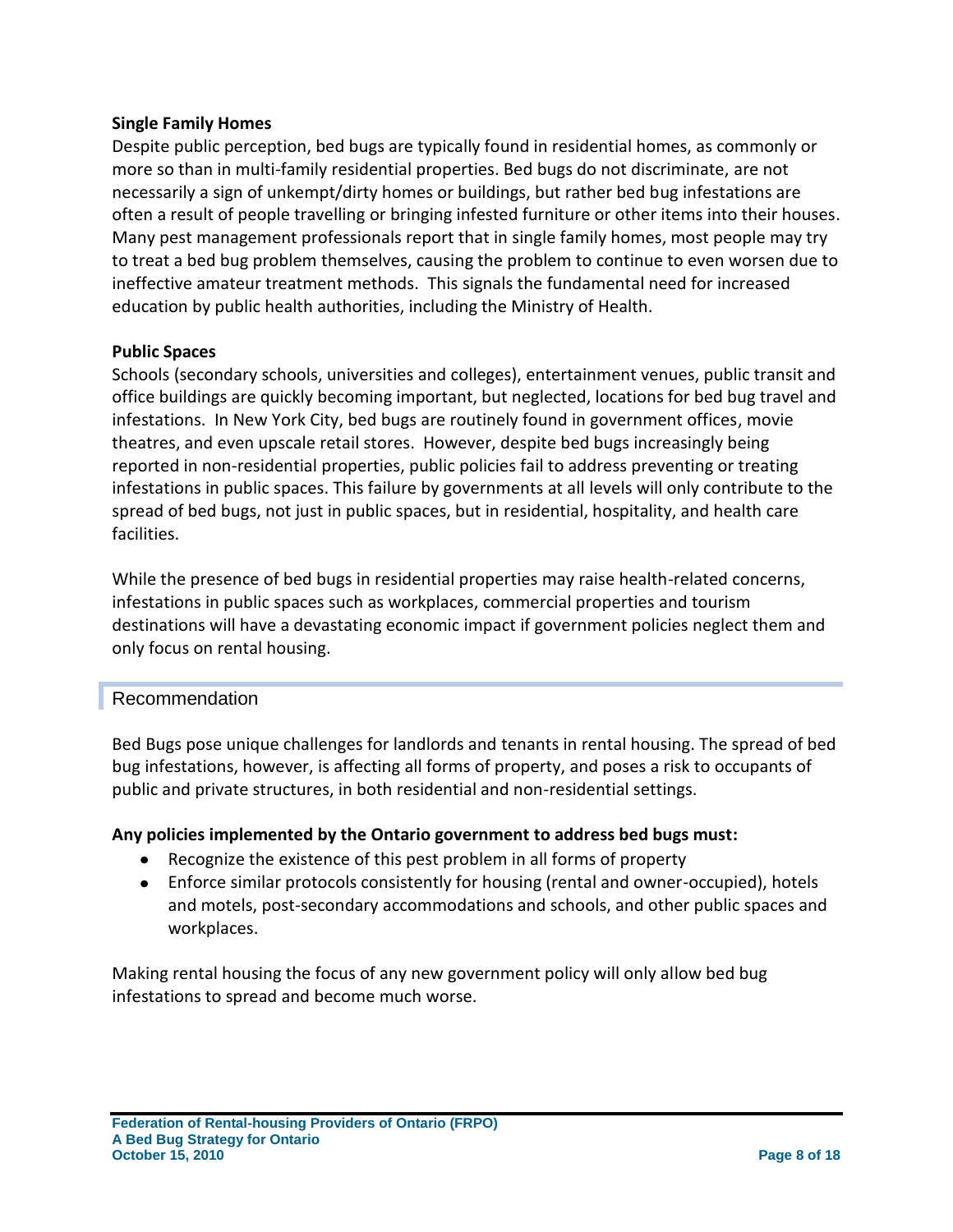#### **Single Family Homes**

Despite public perception, bed bugs are typically found in residential homes, as commonly or more so than in multi-family residential properties. Bed bugs do not discriminate, are not necessarily a sign of unkempt/dirty homes or buildings, but rather bed bug infestations are often a result of people travelling or bringing infested furniture or other items into their houses. Many pest management professionals report that in single family homes, most people may try to treat a bed bug problem themselves, causing the problem to continue to even worsen due to ineffective amateur treatment methods. This signals the fundamental need for increased education by public health authorities, including the Ministry of Health.

#### **Public Spaces**

Schools (secondary schools, universities and colleges), entertainment venues, public transit and office buildings are quickly becoming important, but neglected, locations for bed bug travel and infestations. In New York City, bed bugs are routinely found in government offices, movie theatres, and even upscale retail stores. However, despite bed bugs increasingly being reported in non-residential properties, public policies fail to address preventing or treating infestations in public spaces. This failure by governments at all levels will only contribute to the spread of bed bugs, not just in public spaces, but in residential, hospitality, and health care facilities.

While the presence of bed bugs in residential properties may raise health-related concerns, infestations in public spaces such as workplaces, commercial properties and tourism destinations will have a devastating economic impact if government policies neglect them and only focus on rental housing.

#### Recommendation

Bed Bugs pose unique challenges for landlords and tenants in rental housing. The spread of bed bug infestations, however, is affecting all forms of property, and poses a risk to occupants of public and private structures, in both residential and non-residential settings.

#### **Any policies implemented by the Ontario government to address bed bugs must:**

- Recognize the existence of this pest problem in all forms of property
- Enforce similar protocols consistently for housing (rental and owner-occupied), hotels and motels, post-secondary accommodations and schools, and other public spaces and workplaces.

Making rental housing the focus of any new government policy will only allow bed bug infestations to spread and become much worse.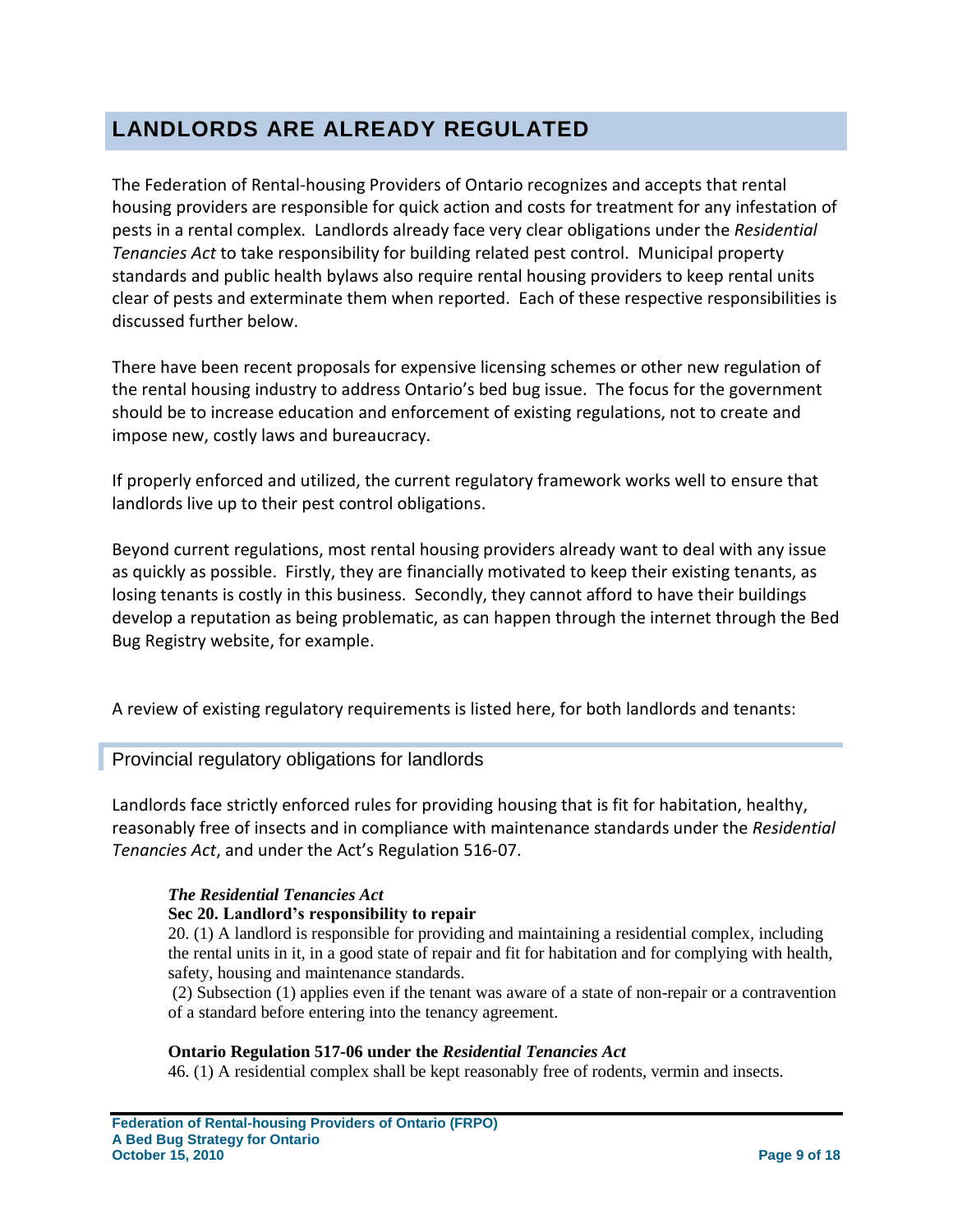### <span id="page-8-0"></span>**LANDLORDS ARE ALREADY REGULATED**

The Federation of Rental-housing Providers of Ontario recognizes and accepts that rental housing providers are responsible for quick action and costs for treatment for any infestation of pests in a rental complex. Landlords already face very clear obligations under the *Residential Tenancies Act* to take responsibility for building related pest control. Municipal property standards and public health bylaws also require rental housing providers to keep rental units clear of pests and exterminate them when reported. Each of these respective responsibilities is discussed further below.

There have been recent proposals for expensive licensing schemes or other new regulation of the rental housing industry to address Ontario's bed bug issue. The focus for the government should be to increase education and enforcement of existing regulations, not to create and impose new, costly laws and bureaucracy.

If properly enforced and utilized, the current regulatory framework works well to ensure that landlords live up to their pest control obligations.

Beyond current regulations, most rental housing providers already want to deal with any issue as quickly as possible. Firstly, they are financially motivated to keep their existing tenants, as losing tenants is costly in this business. Secondly, they cannot afford to have their buildings develop a reputation as being problematic, as can happen through the internet through the Bed Bug Registry website, for example.

A review of existing regulatory requirements is listed here, for both landlords and tenants:

#### Provincial regulatory obligations for landlords

Landlords face strictly enforced rules for providing housing that is fit for habitation, healthy, reasonably free of insects and in compliance with maintenance standards under the *Residential Tenancies Act*, and under the Act's Regulation 516-07.

#### *The Residential Tenancies Act*

#### **Sec 20. Landlord's responsibility to repair**

20. (1) A landlord is responsible for providing and maintaining a residential complex, including the rental units in it, in a good state of repair and fit for habitation and for complying with health, safety, housing and maintenance standards.

(2) Subsection (1) applies even if the tenant was aware of a state of non-repair or a contravention of a standard before entering into the tenancy agreement.

#### **Ontario Regulation 517-06 under the** *Residential Tenancies Act*

46. (1) A residential complex shall be kept reasonably free of rodents, vermin and insects.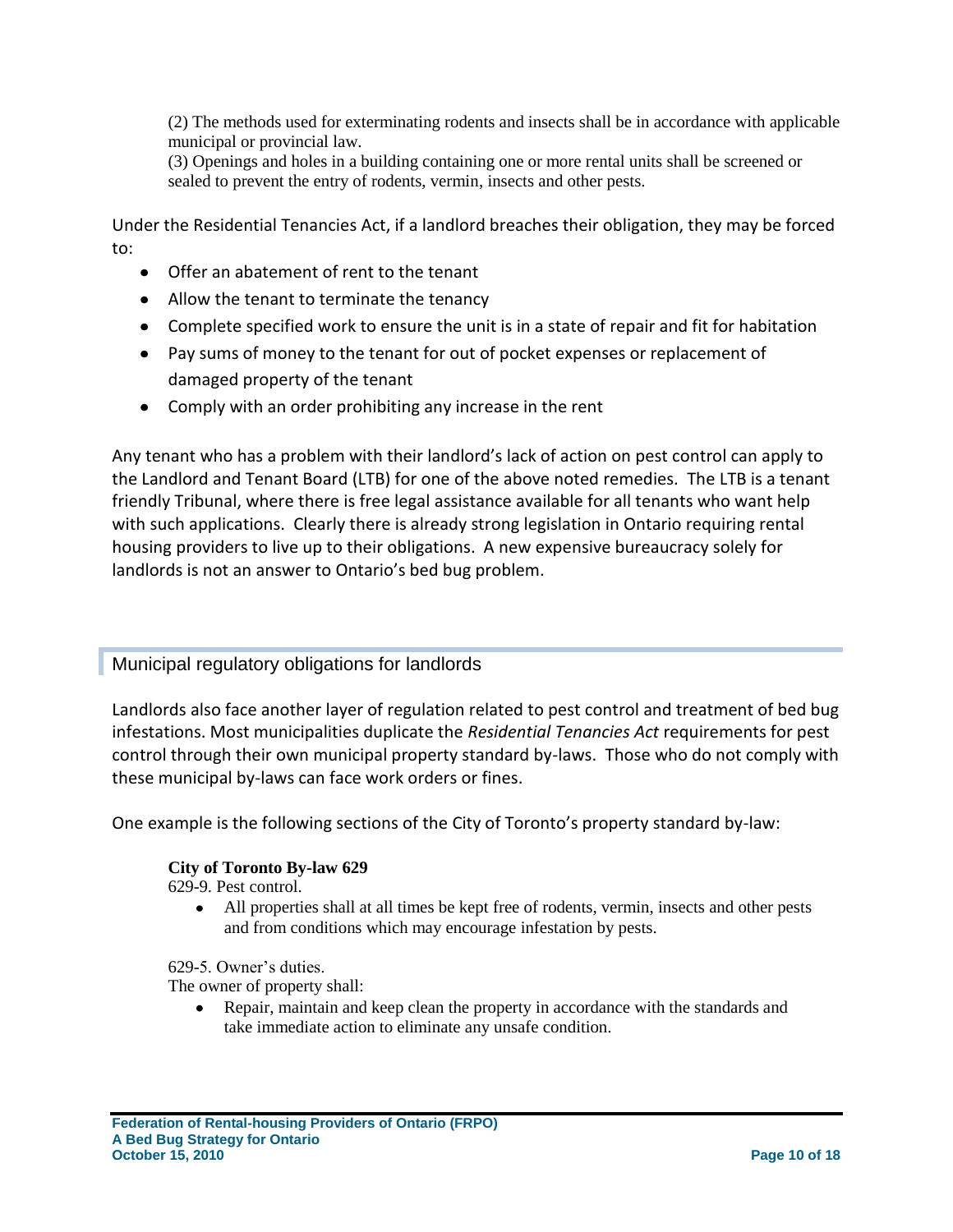(2) The methods used for exterminating rodents and insects shall be in accordance with applicable municipal or provincial law.

(3) Openings and holes in a building containing one or more rental units shall be screened or sealed to prevent the entry of rodents, vermin, insects and other pests.

Under the Residential Tenancies Act, if a landlord breaches their obligation, they may be forced to:

- Offer an abatement of rent to the tenant
- Allow the tenant to terminate the tenancy
- Complete specified work to ensure the unit is in a state of repair and fit for habitation
- Pay sums of money to the tenant for out of pocket expenses or replacement of damaged property of the tenant
- Comply with an order prohibiting any increase in the rent

Any tenant who has a problem with their landlord's lack of action on pest control can apply to the Landlord and Tenant Board (LTB) for one of the above noted remedies. The LTB is a tenant friendly Tribunal, where there is free legal assistance available for all tenants who want help with such applications. Clearly there is already strong legislation in Ontario requiring rental housing providers to live up to their obligations. A new expensive bureaucracy solely for landlords is not an answer to Ontario's bed bug problem.

Municipal regulatory obligations for landlords

Landlords also face another layer of regulation related to pest control and treatment of bed bug infestations. Most municipalities duplicate the *Residential Tenancies Act* requirements for pest control through their own municipal property standard by-laws. Those who do not comply with these municipal by-laws can face work orders or fines.

One example is the following sections of the City of Toronto's property standard by-law:

#### **City of Toronto By-law 629**

629-9. Pest control.

All properties shall at all times be kept free of rodents, vermin, insects and other pests and from conditions which may encourage infestation by pests.

629-5. Owner's duties.

The owner of property shall:

 $\bullet$  . Repair, maintain and keep clean the property in accordance with the standards and take immediate action to eliminate any unsafe condition.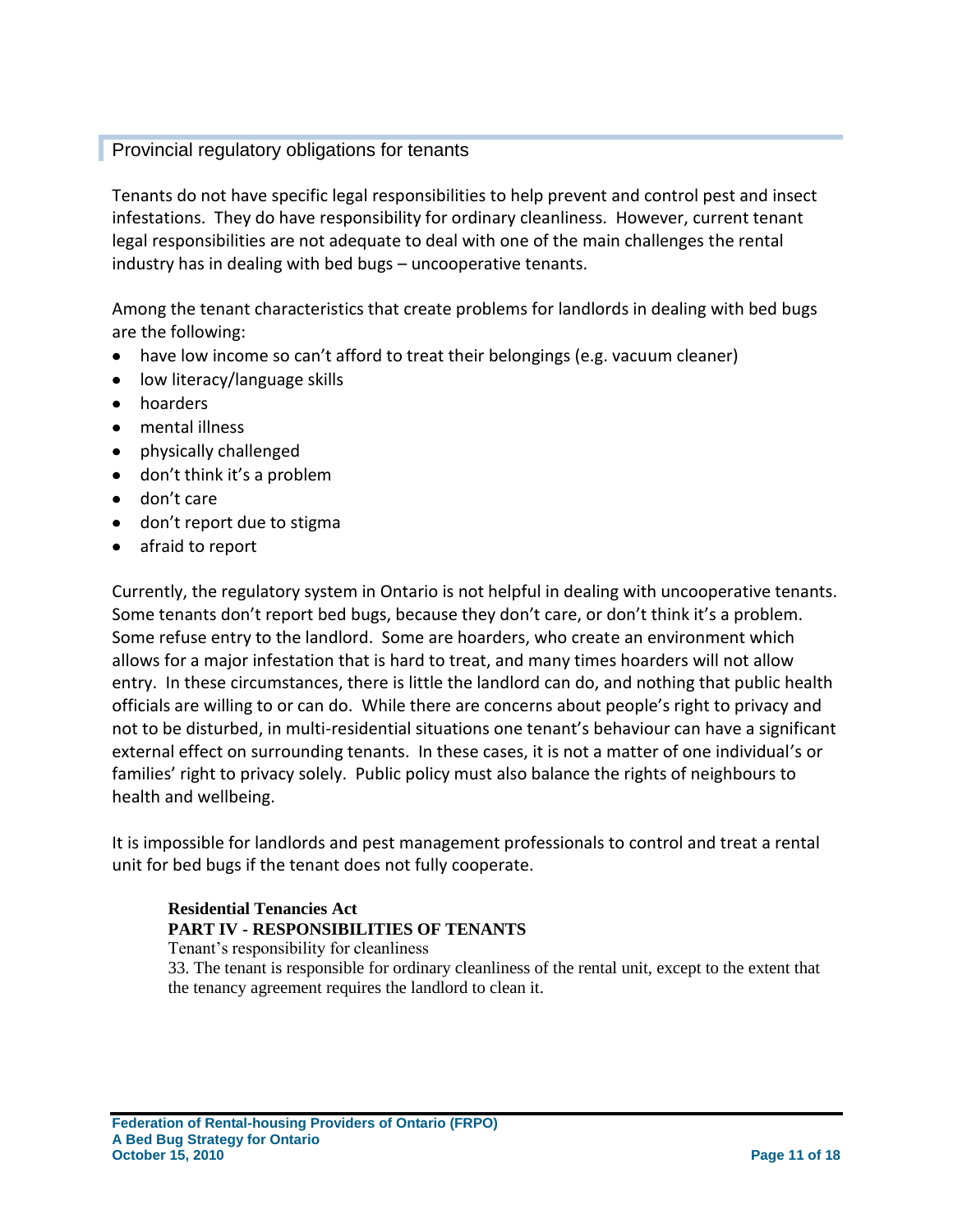#### **Provincial regulatory obligations for tenants**

Tenants do not have specific legal responsibilities to help prevent and control pest and insect infestations. They do have responsibility for ordinary cleanliness. However, current tenant legal responsibilities are not adequate to deal with one of the main challenges the rental industry has in dealing with bed bugs – uncooperative tenants.

Among the tenant characteristics that create problems for landlords in dealing with bed bugs are the following:

- have low income so can't afford to treat their belongings (e.g. vacuum cleaner)
- low literacy/language skills
- hoarders
- mental illness
- physically challenged
- don't think it's a problem
- don't care
- don't report due to stigma
- afraid to report

Currently, the regulatory system in Ontario is not helpful in dealing with uncooperative tenants. Some tenants don't report bed bugs, because they don't care, or don't think it's a problem. Some refuse entry to the landlord. Some are hoarders, who create an environment which allows for a major infestation that is hard to treat, and many times hoarders will not allow entry. In these circumstances, there is little the landlord can do, and nothing that public health officials are willing to or can do. While there are concerns about people's right to privacy and not to be disturbed, in multi-residential situations one tenant's behaviour can have a significant external effect on surrounding tenants. In these cases, it is not a matter of one individual's or families' right to privacy solely. Public policy must also balance the rights of neighbours to health and wellbeing.

It is impossible for landlords and pest management professionals to control and treat a rental unit for bed bugs if the tenant does not fully cooperate.

#### **Residential Tenancies Act PART IV - RESPONSIBILITIES OF TENANTS**

Tenant's responsibility for cleanliness 33. The tenant is responsible for ordinary cleanliness of the rental unit, except to the extent that the tenancy agreement requires the landlord to clean it.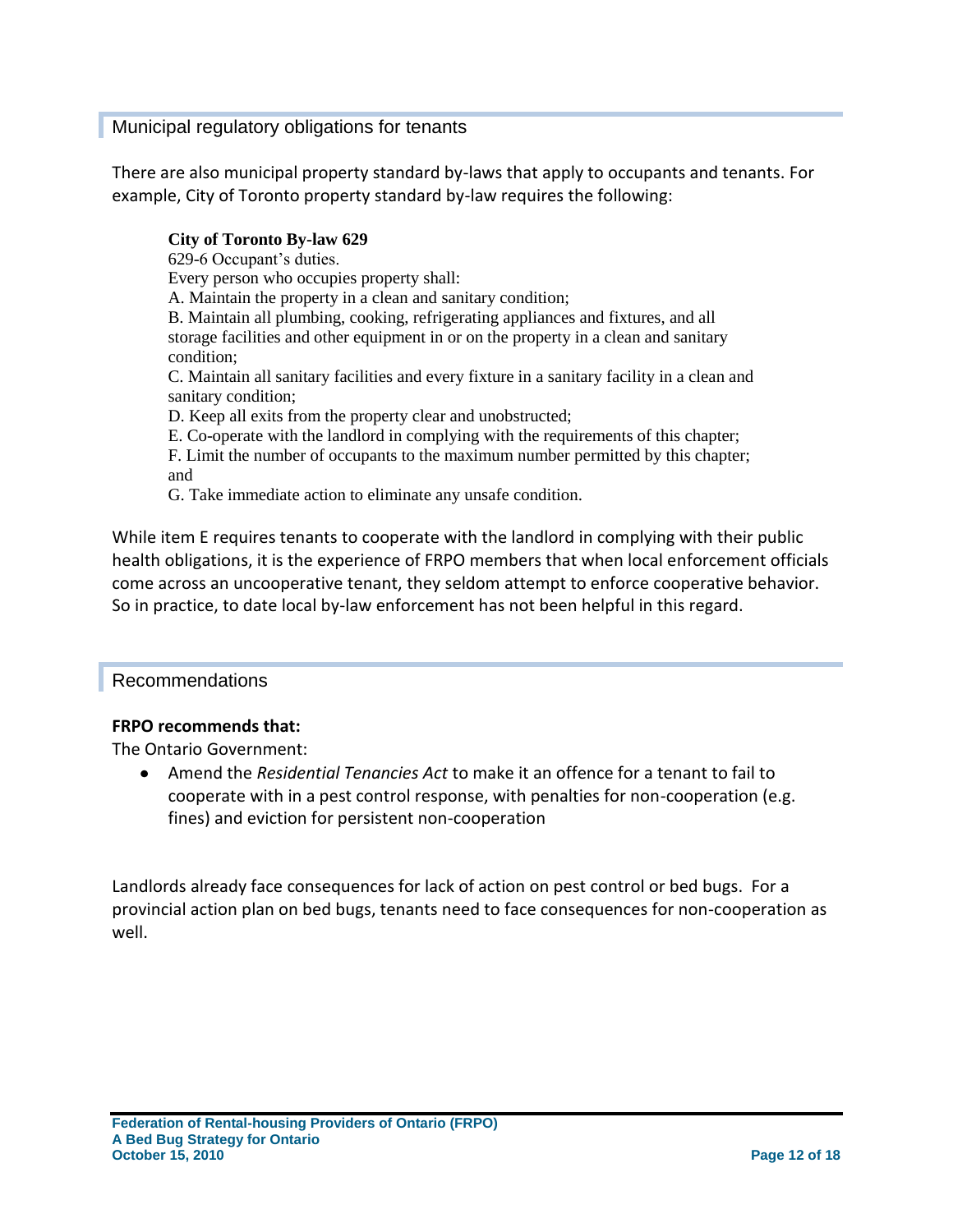#### Municipal regulatory obligations for tenants

There are also municipal property standard by-laws that apply to occupants and tenants. For example, City of Toronto property standard by-law requires the following:

#### **City of Toronto By-law 629**

629-6 Occupant's duties.

Every person who occupies property shall:

A. Maintain the property in a clean and sanitary condition;

B. Maintain all plumbing, cooking, refrigerating appliances and fixtures, and all storage facilities and other equipment in or on the property in a clean and sanitary condition;

C. Maintain all sanitary facilities and every fixture in a sanitary facility in a clean and sanitary condition;

D. Keep all exits from the property clear and unobstructed;

E. Co-operate with the landlord in complying with the requirements of this chapter;

F. Limit the number of occupants to the maximum number permitted by this chapter; and

G. Take immediate action to eliminate any unsafe condition.

While item E requires tenants to cooperate with the landlord in complying with their public health obligations, it is the experience of FRPO members that when local enforcement officials come across an uncooperative tenant, they seldom attempt to enforce cooperative behavior. So in practice, to date local by-law enforcement has not been helpful in this regard.

#### Recommendations

#### **FRPO recommends that:**

The Ontario Government:

Amend the *Residential Tenancies Act* to make it an offence for a tenant to fail to cooperate with in a pest control response, with penalties for non-cooperation (e.g. fines) and eviction for persistent non-cooperation

Landlords already face consequences for lack of action on pest control or bed bugs. For a provincial action plan on bed bugs, tenants need to face consequences for non-cooperation as well.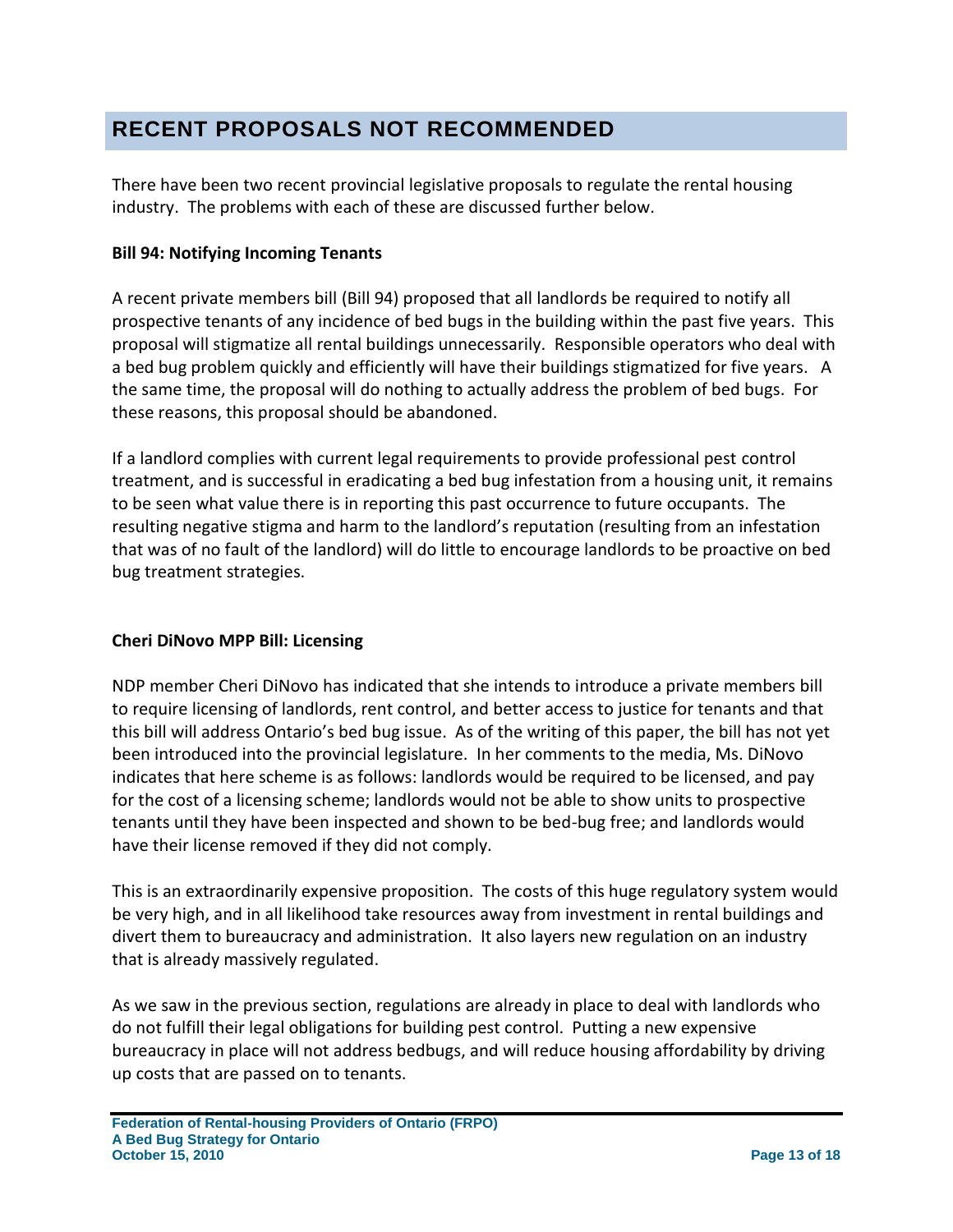### <span id="page-12-0"></span>**RECENT PROPOSALS NOT RECOMMENDED**

There have been two recent provincial legislative proposals to regulate the rental housing industry. The problems with each of these are discussed further below.

#### **Bill 94: Notifying Incoming Tenants**

A recent private members bill (Bill 94) proposed that all landlords be required to notify all prospective tenants of any incidence of bed bugs in the building within the past five years. This proposal will stigmatize all rental buildings unnecessarily. Responsible operators who deal with a bed bug problem quickly and efficiently will have their buildings stigmatized for five years. A the same time, the proposal will do nothing to actually address the problem of bed bugs. For these reasons, this proposal should be abandoned.

If a landlord complies with current legal requirements to provide professional pest control treatment, and is successful in eradicating a bed bug infestation from a housing unit, it remains to be seen what value there is in reporting this past occurrence to future occupants. The resulting negative stigma and harm to the landlord's reputation (resulting from an infestation that was of no fault of the landlord) will do little to encourage landlords to be proactive on bed bug treatment strategies.

#### **Cheri DiNovo MPP Bill: Licensing**

NDP member Cheri DiNovo has indicated that she intends to introduce a private members bill to require licensing of landlords, rent control, and better access to justice for tenants and that this bill will address Ontario's bed bug issue. As of the writing of this paper, the bill has not yet been introduced into the provincial legislature. In her comments to the media, Ms. DiNovo indicates that here scheme is as follows: landlords would be required to be licensed, and pay for the cost of a licensing scheme; landlords would not be able to show units to prospective tenants until they have been inspected and shown to be bed-bug free; and landlords would have their license removed if they did not comply.

This is an extraordinarily expensive proposition. The costs of this huge regulatory system would be very high, and in all likelihood take resources away from investment in rental buildings and divert them to bureaucracy and administration. It also layers new regulation on an industry that is already massively regulated.

As we saw in the previous section, regulations are already in place to deal with landlords who do not fulfill their legal obligations for building pest control. Putting a new expensive bureaucracy in place will not address bedbugs, and will reduce housing affordability by driving up costs that are passed on to tenants.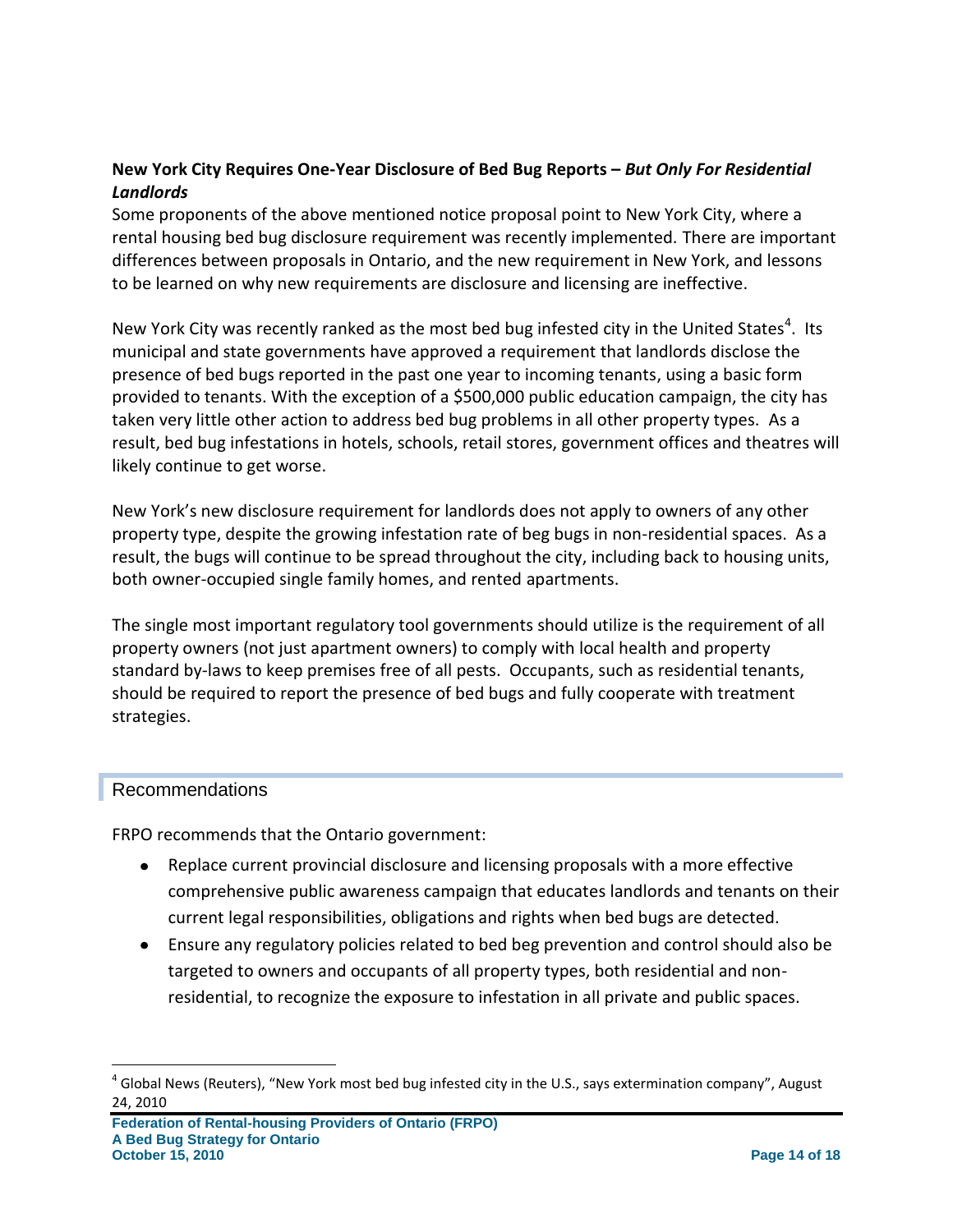#### **New York City Requires One-Year Disclosure of Bed Bug Reports –** *But Only For Residential Landlords*

Some proponents of the above mentioned notice proposal point to New York City, where a rental housing bed bug disclosure requirement was recently implemented. There are important differences between proposals in Ontario, and the new requirement in New York, and lessons to be learned on why new requirements are disclosure and licensing are ineffective.

New York City was recently ranked as the most bed bug infested city in the United States<sup>4</sup>. Its municipal and state governments have approved a requirement that landlords disclose the presence of bed bugs reported in the past one year to incoming tenants, using a basic form provided to tenants. With the exception of a \$500,000 public education campaign, the city has taken very little other action to address bed bug problems in all other property types. As a result, bed bug infestations in hotels, schools, retail stores, government offices and theatres will likely continue to get worse.

New York's new disclosure requirement for landlords does not apply to owners of any other property type, despite the growing infestation rate of beg bugs in non-residential spaces. As a result, the bugs will continue to be spread throughout the city, including back to housing units, both owner-occupied single family homes, and rented apartments.

The single most important regulatory tool governments should utilize is the requirement of all property owners (not just apartment owners) to comply with local health and property standard by-laws to keep premises free of all pests. Occupants, such as residential tenants, should be required to report the presence of bed bugs and fully cooperate with treatment strategies.

#### Recommendations

 $\overline{a}$ 

FRPO recommends that the Ontario government:

- Replace current provincial disclosure and licensing proposals with a more effective  $\bullet$ comprehensive public awareness campaign that educates landlords and tenants on their current legal responsibilities, obligations and rights when bed bugs are detected.
- Ensure any regulatory policies related to bed beg prevention and control should also be targeted to owners and occupants of all property types, both residential and nonresidential, to recognize the exposure to infestation in all private and public spaces.

<sup>&</sup>lt;sup>4</sup> Global News (Reuters), "New York most bed bug infested city in the U.S., says extermination company", August 24, 2010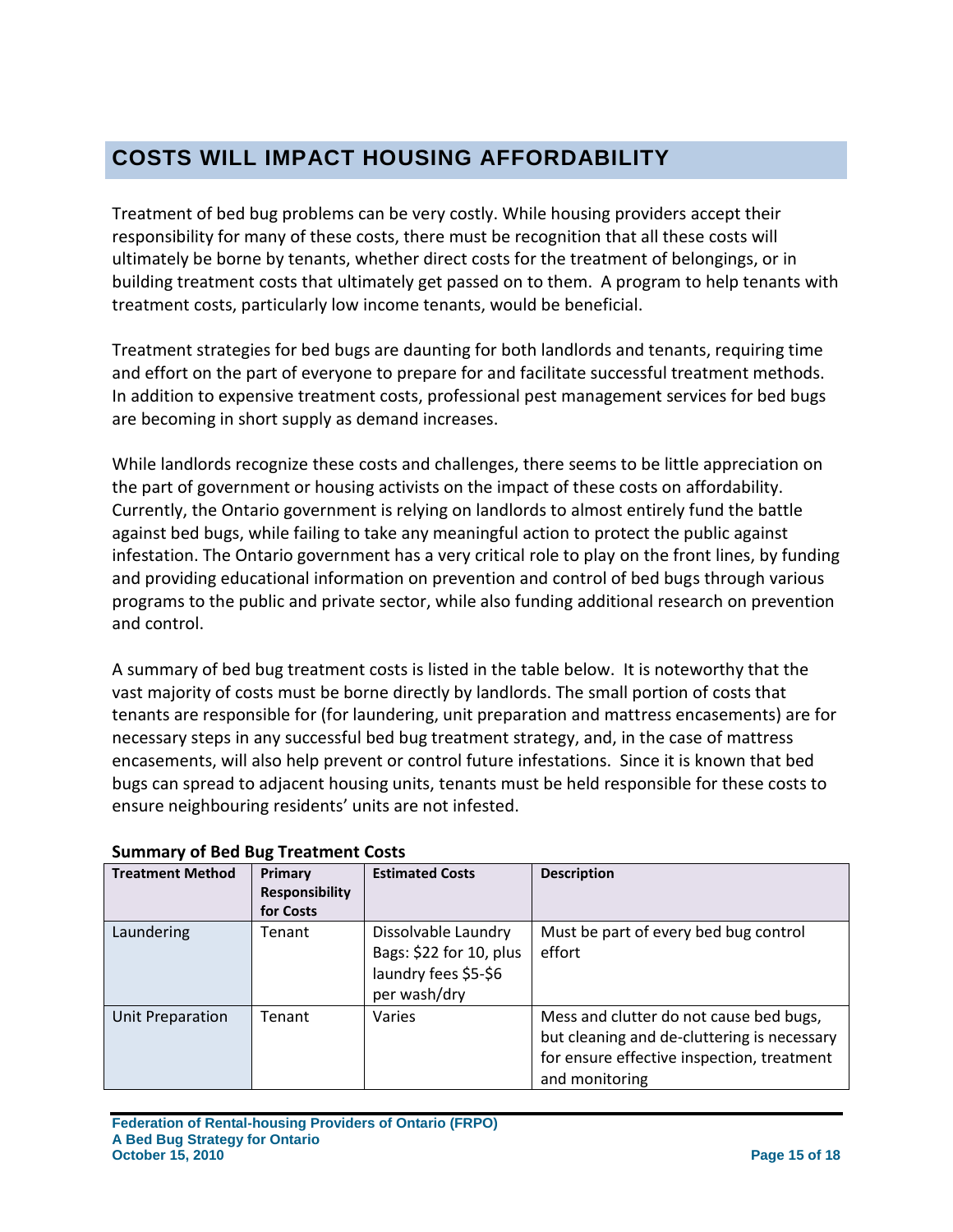### <span id="page-14-0"></span>**COSTS WILL IMPACT HOUSING AFFORDABILITY**

Treatment of bed bug problems can be very costly. While housing providers accept their responsibility for many of these costs, there must be recognition that all these costs will ultimately be borne by tenants, whether direct costs for the treatment of belongings, or in building treatment costs that ultimately get passed on to them. A program to help tenants with treatment costs, particularly low income tenants, would be beneficial.

Treatment strategies for bed bugs are daunting for both landlords and tenants, requiring time and effort on the part of everyone to prepare for and facilitate successful treatment methods. In addition to expensive treatment costs, professional pest management services for bed bugs are becoming in short supply as demand increases.

While landlords recognize these costs and challenges, there seems to be little appreciation on the part of government or housing activists on the impact of these costs on affordability. Currently, the Ontario government is relying on landlords to almost entirely fund the battle against bed bugs, while failing to take any meaningful action to protect the public against infestation. The Ontario government has a very critical role to play on the front lines, by funding and providing educational information on prevention and control of bed bugs through various programs to the public and private sector, while also funding additional research on prevention and control.

A summary of bed bug treatment costs is listed in the table below. It is noteworthy that the vast majority of costs must be borne directly by landlords. The small portion of costs that tenants are responsible for (for laundering, unit preparation and mattress encasements) are for necessary steps in any successful bed bug treatment strategy, and, in the case of mattress encasements, will also help prevent or control future infestations. Since it is known that bed bugs can spread to adjacent housing units, tenants must be held responsible for these costs to ensure neighbouring residents' units are not infested.

| <b>Treatment Method</b> | Primary<br><b>Responsibility</b><br>for Costs | <b>Estimated Costs</b>                                                                 | <b>Description</b>                                                                                                                                     |
|-------------------------|-----------------------------------------------|----------------------------------------------------------------------------------------|--------------------------------------------------------------------------------------------------------------------------------------------------------|
| Laundering              | Tenant                                        | Dissolvable Laundry<br>Bags: \$22 for 10, plus<br>laundry fees \$5-\$6<br>per wash/dry | Must be part of every bed bug control<br>effort                                                                                                        |
| Unit Preparation        | Tenant                                        | Varies                                                                                 | Mess and clutter do not cause bed bugs,<br>but cleaning and de-cluttering is necessary<br>for ensure effective inspection, treatment<br>and monitoring |

#### **Summary of Bed Bug Treatment Costs**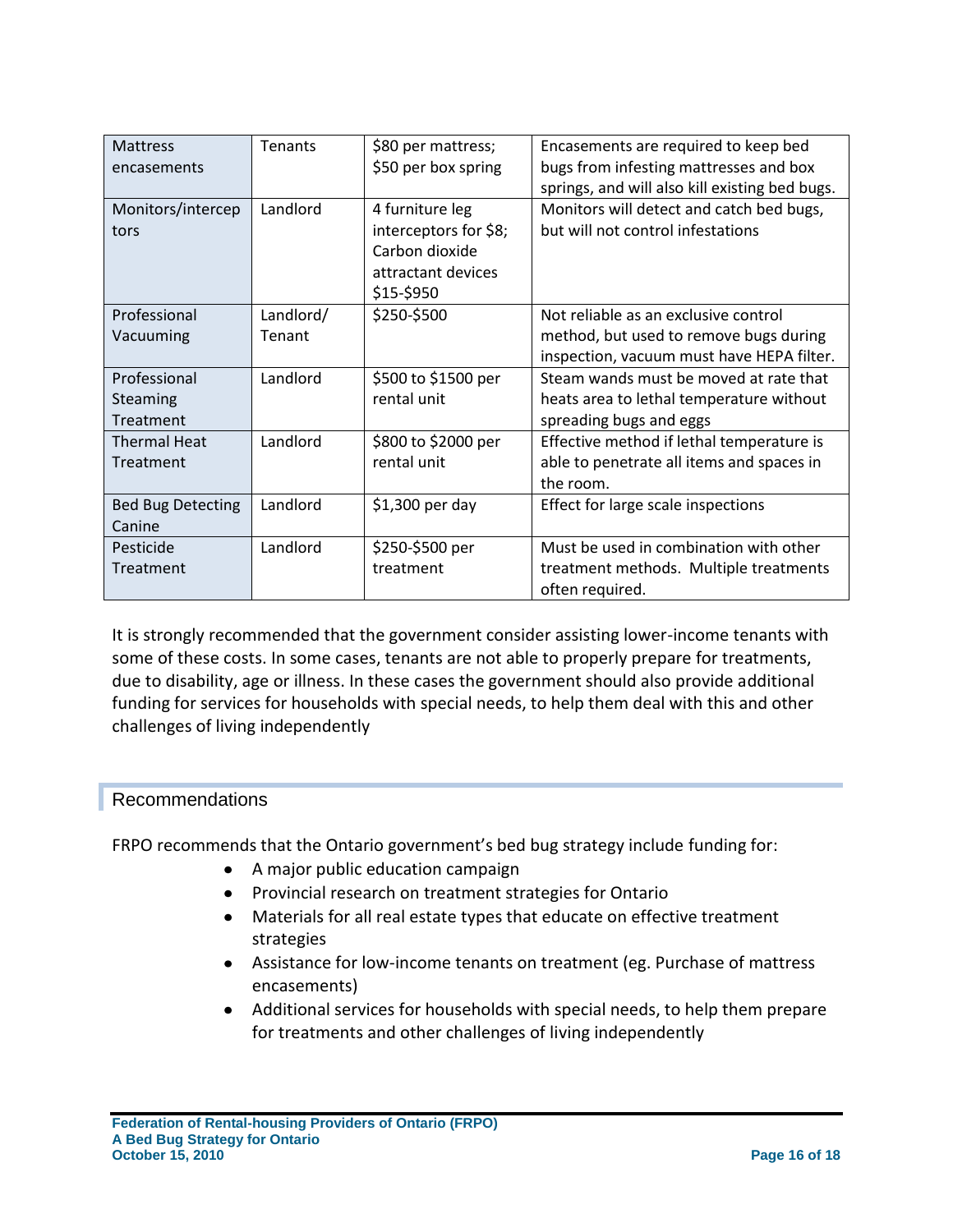| <b>Mattress</b><br>encasements        | Tenants             | \$80 per mattress;<br>\$50 per box spring                                                      | Encasements are required to keep bed<br>bugs from infesting mattresses and box<br>springs, and will also kill existing bed bugs. |
|---------------------------------------|---------------------|------------------------------------------------------------------------------------------------|----------------------------------------------------------------------------------------------------------------------------------|
| Monitors/intercep<br>tors             | Landlord            | 4 furniture leg<br>interceptors for \$8;<br>Carbon dioxide<br>attractant devices<br>\$15-\$950 | Monitors will detect and catch bed bugs,<br>but will not control infestations                                                    |
| Professional<br>Vacuuming             | Landlord/<br>Tenant | \$250-\$500                                                                                    | Not reliable as an exclusive control<br>method, but used to remove bugs during<br>inspection, vacuum must have HEPA filter.      |
| Professional<br>Steaming<br>Treatment | Landlord            | \$500 to \$1500 per<br>rental unit                                                             | Steam wands must be moved at rate that<br>heats area to lethal temperature without<br>spreading bugs and eggs                    |
| <b>Thermal Heat</b><br>Treatment      | Landlord            | \$800 to \$2000 per<br>rental unit                                                             | Effective method if lethal temperature is<br>able to penetrate all items and spaces in<br>the room.                              |
| <b>Bed Bug Detecting</b><br>Canine    | Landlord            | $$1,300$ per day                                                                               | Effect for large scale inspections                                                                                               |
| Pesticide<br>Treatment                | Landlord            | \$250-\$500 per<br>treatment                                                                   | Must be used in combination with other<br>treatment methods. Multiple treatments<br>often required.                              |

It is strongly recommended that the government consider assisting lower-income tenants with some of these costs. In some cases, tenants are not able to properly prepare for treatments, due to disability, age or illness. In these cases the government should also provide additional funding for services for households with special needs, to help them deal with this and other challenges of living independently

#### Recommendations

FRPO recommends that the Ontario government's bed bug strategy include funding for:

- A major public education campaign
- Provincial research on treatment strategies for Ontario
- Materials for all real estate types that educate on effective treatment strategies
- Assistance for low-income tenants on treatment (eg. Purchase of mattress encasements)
- Additional services for households with special needs, to help them prepare for treatments and other challenges of living independently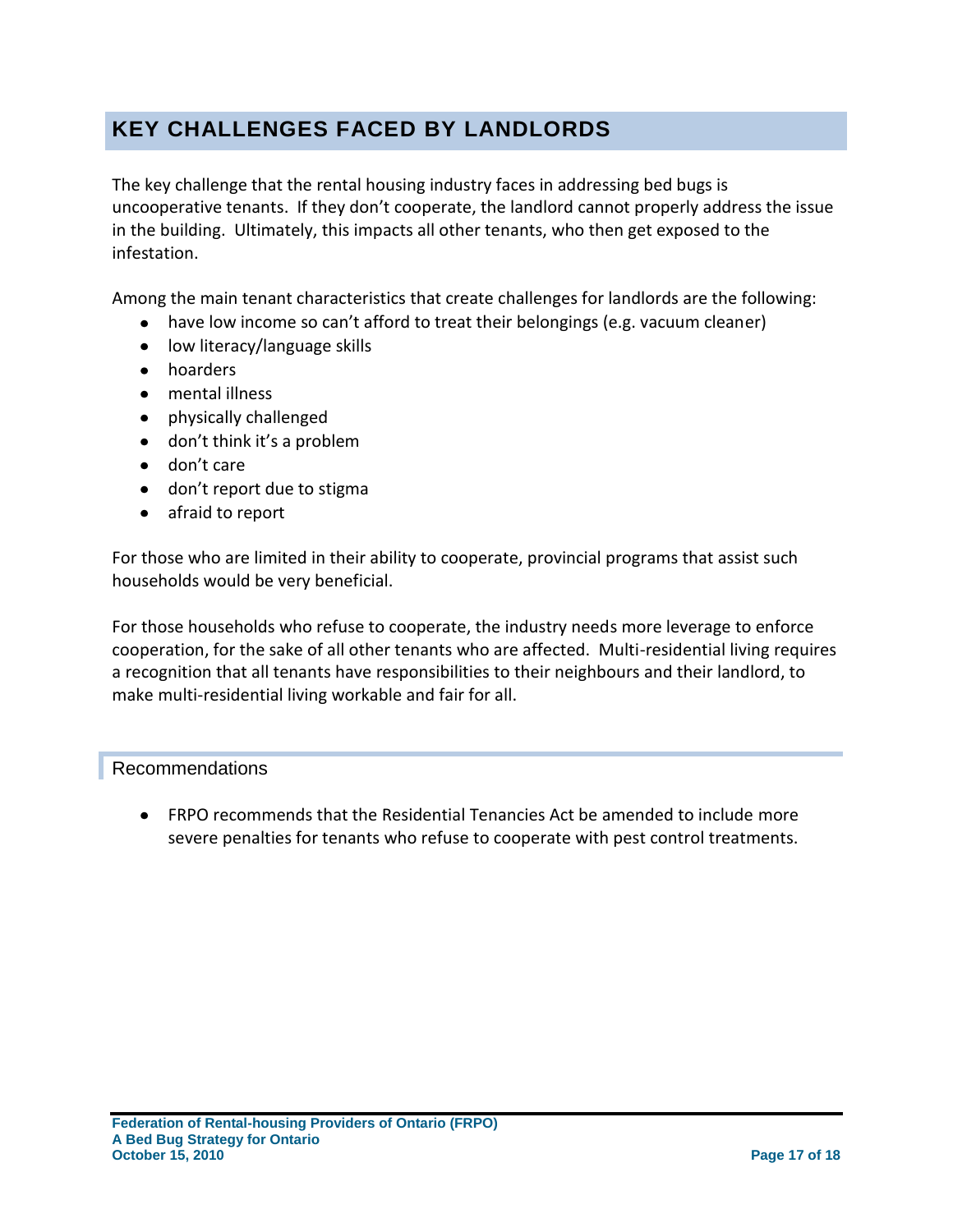### <span id="page-16-0"></span>**KEY CHALLENGES FACED BY LANDLORDS**

The key challenge that the rental housing industry faces in addressing bed bugs is uncooperative tenants. If they don't cooperate, the landlord cannot properly address the issue in the building. Ultimately, this impacts all other tenants, who then get exposed to the infestation.

Among the main tenant characteristics that create challenges for landlords are the following:

- have low income so can't afford to treat their belongings (e.g. vacuum cleaner)
- low literacy/language skills
- hoarders
- mental illness
- physically challenged
- don't think it's a problem
- don't care
- don't report due to stigma
- afraid to report

For those who are limited in their ability to cooperate, provincial programs that assist such households would be very beneficial.

For those households who refuse to cooperate, the industry needs more leverage to enforce cooperation, for the sake of all other tenants who are affected. Multi-residential living requires a recognition that all tenants have responsibilities to their neighbours and their landlord, to make multi-residential living workable and fair for all.

#### Recommendations

FRPO recommends that the Residential Tenancies Act be amended to include more severe penalties for tenants who refuse to cooperate with pest control treatments.